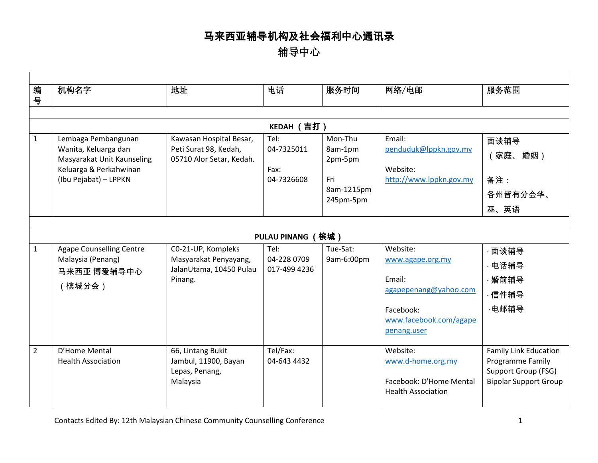辅导中心

| 编<br>号         | 机构名字                                                                                                                         | 地址                                                                                | 电话                                       | 服务时间                                                            | 网络/电邮                                                                                                                 | 服务范围                                                                                                    |  |  |  |
|----------------|------------------------------------------------------------------------------------------------------------------------------|-----------------------------------------------------------------------------------|------------------------------------------|-----------------------------------------------------------------|-----------------------------------------------------------------------------------------------------------------------|---------------------------------------------------------------------------------------------------------|--|--|--|
|                |                                                                                                                              |                                                                                   |                                          |                                                                 |                                                                                                                       |                                                                                                         |  |  |  |
|                |                                                                                                                              |                                                                                   | KEDAH (吉打)                               |                                                                 |                                                                                                                       |                                                                                                         |  |  |  |
| 1              | Lembaga Pembangunan<br>Wanita, Keluarga dan<br>Masyarakat Unit Kaunseling<br>Keluarga & Perkahwinan<br>(Ibu Pejabat) - LPPKN | Kawasan Hospital Besar,<br>Peti Surat 98, Kedah,<br>05710 Alor Setar, Kedah.      | Tel:<br>04-7325011<br>Fax:<br>04-7326608 | Mon-Thu<br>8am-1pm<br>2pm-5pm<br>Fri<br>8am-1215pm<br>245pm-5pm | Email:<br>penduduk@lppkn.gov.my<br>Website:<br>http://www.lppkn.gov.my                                                | 面谈辅导<br>婚姻)<br>(家庭、<br>备注:<br>各州皆有分会华、<br>巫、英语                                                          |  |  |  |
|                |                                                                                                                              |                                                                                   |                                          |                                                                 |                                                                                                                       |                                                                                                         |  |  |  |
|                | PULAU PINANG (槟城 )                                                                                                           |                                                                                   |                                          |                                                                 |                                                                                                                       |                                                                                                         |  |  |  |
| $\mathbf{1}$   | <b>Agape Counselling Centre</b><br>Malaysia (Penang)<br>马来西亚 博爱辅导中心<br>(槟城分会)                                                | CO-21-UP, Kompleks<br>Masyarakat Penyayang,<br>JalanUtama, 10450 Pulau<br>Pinang. | Tel:<br>04-228 0709<br>017-499 4236      | Tue-Sat:<br>9am-6:00pm                                          | Website:<br>www.agape.org.my<br>Email:<br>agapepenang@yahoo.com<br>Facebook:<br>www.facebook.com/agape<br>penang.user | 面谈辅导<br>· 电话辅导<br>·婚前辅导<br>·信件辅导<br>·电邮辅导                                                               |  |  |  |
| $\overline{2}$ | D'Home Mental<br><b>Health Association</b>                                                                                   | 66, Lintang Bukit<br>Jambul, 11900, Bayan<br>Lepas, Penang,<br>Malaysia           | Tel/Fax:<br>04-643 4432                  |                                                                 | Website:<br>www.d-home.org.my<br>Facebook: D'Home Mental<br><b>Health Association</b>                                 | <b>Family Link Education</b><br>Programme Family<br>Support Group (FSG)<br><b>Bipolar Support Group</b> |  |  |  |

Г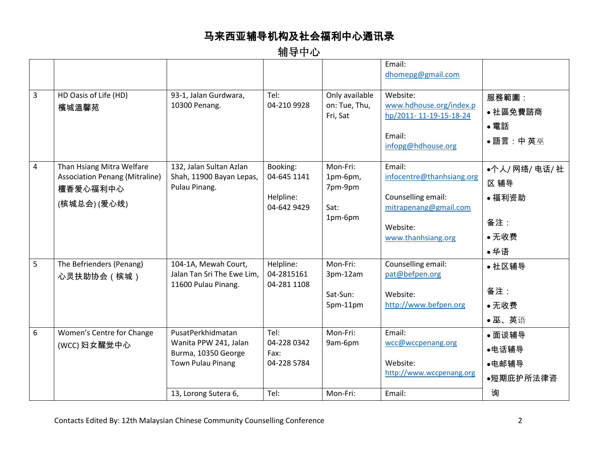| 3 | HD Oasis of Life (HD)<br>檳城溫馨苑                                                                | 93-1, Jalan Gurdwara,<br>10300 Penang.                                                                                | Tel:<br>04-210 9928                                 | Only available<br>on: Tue, Thu,<br>Fri, Sat        | Email:<br>dhomepg@gmail.com<br>Website:<br>www.hdhouse.org/index.p<br>hp/2011-11-19-15-18-24<br>Email:<br>infopg@hdhouse.org | 服務範圍:<br>• 社區免費諮商<br>• 電話<br>•語言:中英巫                    |
|---|-----------------------------------------------------------------------------------------------|-----------------------------------------------------------------------------------------------------------------------|-----------------------------------------------------|----------------------------------------------------|------------------------------------------------------------------------------------------------------------------------------|---------------------------------------------------------|
| 4 | Than Hsiang Mitra Welfare<br><b>Association Penang (Mitraline)</b><br>檀香爱心福利中心<br>(槟城总会)(爱心线) | 132, Jalan Sultan Azlan<br>Shah, 11900 Bayan Lepas,<br>Pulau Pinang.                                                  | Booking:<br>04-645 1141<br>Helpline:<br>04-642 9429 | Mon-Fri:<br>1pm-6pm,<br>7pm-9pm<br>Sat:<br>1pm-6pm | Email:<br>infocentre@thanhsiang.org<br>Counselling email:<br>mitrapenang@gmail.com<br>Website:<br>www.thanhsiang.org         | •个人/ 网络/ 电话/ 社<br>区 辅导<br>● 福利资助<br>备注:<br>• 无收费<br>●华语 |
| 5 | The Befrienders (Penang)<br>心灵扶助协会 (槟城)                                                       | 104-1A, Mewah Court,<br>Jalan Tan Sri The Ewe Lim,<br>11600 Pulau Pinang.                                             | Helpline:<br>04-2815161<br>04-281 1108              | Mon-Fri:<br>3pm-12am<br>Sat-Sun:<br>5pm-11pm       | Counselling email:<br>pat@befpen.org<br>Website:<br>http://www.befpen.org                                                    | • 社区辅导<br>备注:<br>•无收费<br>●巫、英语                          |
| 6 | Women's Centre for Change<br>(WCC) 妇女醒觉中心                                                     | PusatPerkhidmatan<br>Wanita PPW 241, Jalan<br>Burma, 10350 George<br><b>Town Pulau Pinang</b><br>13, Lorong Sutera 6, | Tel:<br>04-228 0342<br>Fax:<br>04-228 5784<br>Tel:  | Mon-Fri:<br>9am-6pm<br>Mon-Fri:                    | Email:<br>wcc@wccpenang.org<br>Website:<br>http://www.wccpenang.org<br>Email:                                                | ● 面谈辅导<br>●电话辅导<br>●电邮辅导<br>●短期庇护所法律咨<br>询              |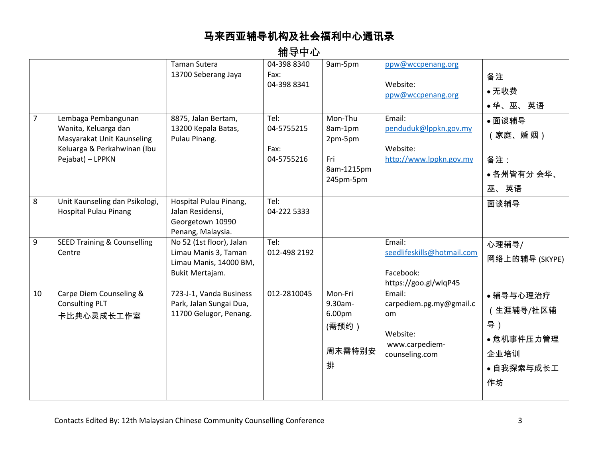|                |                                                                                                                              | <b>Taman Sutera</b><br>13700 Seberang Jaya                                                    | 04-398 8340<br>Fax:<br>04-398 8341       | 9am-5pm                                                         | ppw@wccpenang.org<br>Website:<br>ppw@wccpenang.org                                       | 备注<br>●无收费<br>● 华、巫、 英语                                                |
|----------------|------------------------------------------------------------------------------------------------------------------------------|-----------------------------------------------------------------------------------------------|------------------------------------------|-----------------------------------------------------------------|------------------------------------------------------------------------------------------|------------------------------------------------------------------------|
| $\overline{7}$ | Lembaga Pembangunan<br>Wanita, Keluarga dan<br>Masyarakat Unit Kaunseling<br>Keluarga & Perkahwinan (Ibu<br>Pejabat) - LPPKN | 8875, Jalan Bertam,<br>13200 Kepala Batas,<br>Pulau Pinang.                                   | Tel:<br>04-5755215<br>Fax:<br>04-5755216 | Mon-Thu<br>8am-1pm<br>2pm-5pm<br>Fri<br>8am-1215pm<br>245pm-5pm | Email:<br>penduduk@lppkn.gov.my<br>Website:<br>http://www.lppkn.gov.my                   | • 面谈辅导<br>家庭、婚 姻)<br>备注:<br>● 各州皆有分 会华、<br>巫、英语                        |
| 8              | Unit Kaunseling dan Psikologi,<br><b>Hospital Pulau Pinang</b>                                                               | Hospital Pulau Pinang,<br>Jalan Residensi,<br>Georgetown 10990<br>Penang, Malaysia.           | Tel:<br>04-222 5333                      |                                                                 |                                                                                          | 面谈辅导                                                                   |
| 9              | <b>SEED Training &amp; Counselling</b><br>Centre                                                                             | No 52 (1st floor), Jalan<br>Limau Manis 3, Taman<br>Limau Manis, 14000 BM,<br>Bukit Mertajam. | Tel:<br>012-498 2192                     |                                                                 | Email:<br>seedlifeskills@hotmail.com<br>Facebook:<br>https://goo.gl/wlqP45               | 心理辅导/<br>网络上的辅导 (SKYPE)                                                |
| 10             | Carpe Diem Counseling &<br><b>Consulting PLT</b><br>卡比典心灵成长工作室                                                               | 723-J-1, Vanda Business<br>Park, Jalan Sungai Dua,<br>11700 Gelugor, Penang.                  | 012-2810045                              | Mon-Fri<br>9.30am-<br>6.00pm<br>(需预约)<br>周末需特别安<br>排            | Email:<br>carpediem.pg.my@gmail.c<br>om.<br>Website:<br>www.carpediem-<br>counseling.com | • 辅导与心理治疗<br>(生涯辅导/社区辅<br>导)<br>• 危机事件压力管理<br>企业培训<br>• 自我探索与成长工<br>作坊 |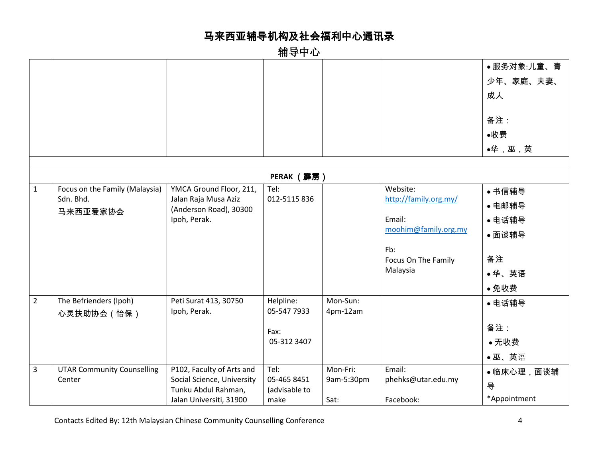|                |                                   |                                                   |                              |            |                       | ●服务对象:儿童、青   |
|----------------|-----------------------------------|---------------------------------------------------|------------------------------|------------|-----------------------|--------------|
|                |                                   |                                                   |                              |            |                       | 少年、家庭、夫妻、    |
|                |                                   |                                                   |                              |            |                       | 成人           |
|                |                                   |                                                   |                              |            |                       |              |
|                |                                   |                                                   |                              |            |                       | 备注:          |
|                |                                   |                                                   |                              |            |                       | ●收费          |
|                |                                   |                                                   |                              |            |                       | ●华,巫,英       |
|                |                                   |                                                   |                              |            |                       |              |
|                |                                   |                                                   | <b>PERAK (霹雳)</b>            |            |                       |              |
| $\mathbf{1}$   | Focus on the Family (Malaysia)    | YMCA Ground Floor, 211,                           | Tel:                         |            | Website:              | ● 书信辅导       |
|                | Sdn. Bhd.                         | Jalan Raja Musa Aziz<br>(Anderson Road), 30300    | 012-5115 836                 |            | http://family.org.my/ | ● 电邮辅导       |
|                | 马来西亚爱家协会                          | Ipoh, Perak.                                      |                              |            | Email:                | • 电话辅导       |
|                |                                   |                                                   |                              |            | moohim@family.org.my  | ● 面谈辅导       |
|                |                                   |                                                   |                              |            | Fb:                   |              |
|                |                                   |                                                   |                              |            | Focus On The Family   | 备注           |
|                |                                   |                                                   |                              |            | Malaysia              | ●华、英语        |
|                |                                   |                                                   |                              |            |                       | ●免收费         |
| $\overline{2}$ | The Befrienders (Ipoh)            | Peti Surat 413, 30750                             | Helpline:                    | Mon-Sun:   |                       | ● 电话辅导       |
|                | 心灵扶助协会 ( 怡保 )                     | Ipoh, Perak.                                      | 05-547 7933                  | 4pm-12am   |                       |              |
|                |                                   |                                                   | Fax:                         |            |                       | 备注:          |
|                |                                   |                                                   | 05-312 3407                  |            |                       | ●无收费         |
|                |                                   |                                                   |                              |            |                       | •巫、英语        |
| $\overline{3}$ | <b>UTAR Community Counselling</b> | P102, Faculty of Arts and                         | Tel:                         | Mon-Fri:   | Email:                | ●临床心理,面谈辅    |
|                | Center                            | Social Science, University<br>Tunku Abdul Rahman, | 05-465 8451<br>(advisable to | 9am-5:30pm | phehks@utar.edu.my    | 导            |
|                |                                   | Jalan Universiti, 31900                           | make                         | Sat:       | Facebook:             | *Appointment |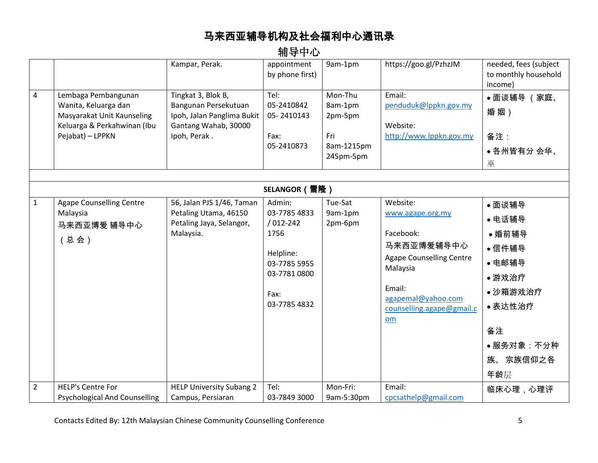|                |                                                                                                                              | Kampar, Perak.                                                                                                   | appointment<br>by phone first)                                                                                      | 9am-1pm                                                         | https://goo.gl/PzhzJM                                                                                                                                                     | needed, fees (subject<br>to monthly household<br>income)                                                            |  |  |  |
|----------------|------------------------------------------------------------------------------------------------------------------------------|------------------------------------------------------------------------------------------------------------------|---------------------------------------------------------------------------------------------------------------------|-----------------------------------------------------------------|---------------------------------------------------------------------------------------------------------------------------------------------------------------------------|---------------------------------------------------------------------------------------------------------------------|--|--|--|
| $\overline{4}$ | Lembaga Pembangunan<br>Wanita, Keluarga dan<br>Masyarakat Unit Kaunseling<br>Keluarga & Perkahwinan (Ibu<br>Pejabat) - LPPKN | Tingkat 3, Blok B,<br>Bangunan Persekutuan<br>Ipoh, Jalan Panglima Bukit<br>Gantang Wahab, 30000<br>Ipoh, Perak. | Tel:<br>05-2410842<br>05-2410143<br>Fax:<br>05-2410873                                                              | Mon-Thu<br>8am-1pm<br>2pm-5pm<br>Fri<br>8am-1215pm<br>245pm-5pm | Email:<br>penduduk@lppkn.gov.my<br>Website:<br>http://www.lppkn.gov.my                                                                                                    | ● 面谈辅导 (家庭、<br>婚姻)<br>备注:<br>• 各州皆有分 会华、<br>巫                                                                       |  |  |  |
|                | SELANGOR (雪隆)                                                                                                                |                                                                                                                  |                                                                                                                     |                                                                 |                                                                                                                                                                           |                                                                                                                     |  |  |  |
| $\mathbf{1}$   | <b>Agape Counselling Centre</b><br>Malaysia<br>马来西亚博爱 辅导中心<br>(总会)                                                           | 56, Jalan PJS 1/46, Taman<br>Petaling Utama, 46150<br>Petaling Jaya, Selangor,<br>Malaysia.                      | Admin:<br>03-7785 4833<br>$/012 - 242$<br>1756<br>Helpline:<br>03-7785 5955<br>03-7781 0800<br>Fax:<br>03-7785 4832 | Tue-Sat<br>9am-1pm<br>2pm-6pm                                   | Website:<br>www.agape.org.my<br>Facebook:<br>马来西亚博爱辅导中心<br><b>Agape Counselling Centre</b><br>Malaysia<br>Email:<br>agapemal@yahoo.com<br>counselling.agape@gmail.c<br>om | ● 面谈辅导<br>● 电话辅导<br>• 婚前辅导<br>•信件辅导<br>• 电邮辅导<br>•游戏治疗<br>• 沙箱游戏治疗<br>• 表达性治疗<br>备注<br>•服务对象:不分种<br>族、宗族信仰之各<br>年龄层 |  |  |  |
| $\overline{2}$ | <b>HELP's Centre For</b><br><b>Psychological And Counselling</b>                                                             | <b>HELP University Subang 2</b><br>Campus, Persiaran                                                             | Tel:<br>03-7849 3000                                                                                                | Mon-Fri:<br>9am-5:30pm                                          | Email:<br>cpcsathelp@gmail.com                                                                                                                                            | 临床心理,心理评                                                                                                            |  |  |  |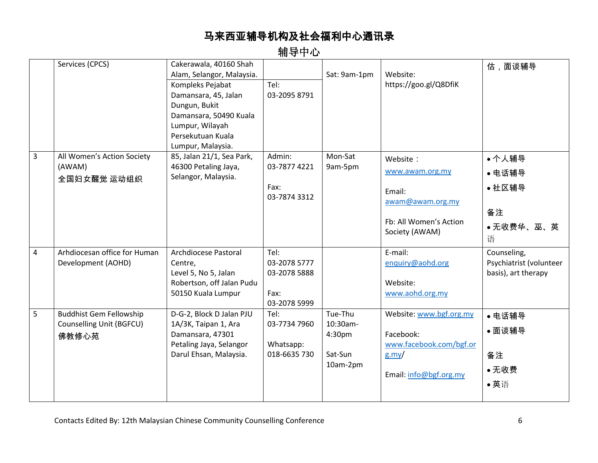辅导中心

|                | Services (CPCS)                                                     | Cakerawala, 40160 Shah<br>Alam, Selangor, Malaysia.<br>Kompleks Pejabat<br>Damansara, 45, Jalan<br>Dungun, Bukit<br>Damansara, 50490 Kuala<br>Lumpur, Wilayah<br>Persekutuan Kuala<br>Lumpur, Malaysia. | Tel:<br>03-2095 8791                                         | Sat: 9am-1pm                                         | Website:<br>https://goo.gl/Q8DfiK                                                                     | 估,面谈辅导                                                        |
|----------------|---------------------------------------------------------------------|---------------------------------------------------------------------------------------------------------------------------------------------------------------------------------------------------------|--------------------------------------------------------------|------------------------------------------------------|-------------------------------------------------------------------------------------------------------|---------------------------------------------------------------|
| $\overline{3}$ | All Women's Action Society<br>(AWAM)<br>全国妇女醒觉 运动组织                 | 85, Jalan 21/1, Sea Park,<br>46300 Petaling Jaya,<br>Selangor, Malaysia.                                                                                                                                | Admin:<br>03-7877 4221<br>Fax:<br>03-7874 3312               | Mon-Sat<br>9am-5pm                                   | Website:<br>www.awam.org.my<br>Email:<br>awam@awam.org.my<br>Fb: All Women's Action<br>Society (AWAM) | ●个人辅导<br>● 电话辅导<br>• 社区辅导<br>备注<br>●无收费华、巫、英<br>语             |
| $\overline{4}$ | Arhdiocesan office for Human<br>Development (AOHD)                  | Archdiocese Pastoral<br>Centre,<br>Level 5, No 5, Jalan<br>Robertson, off Jalan Pudu<br>50150 Kuala Lumpur                                                                                              | Tel:<br>03-2078 5777<br>03-2078 5888<br>Fax:<br>03-2078 5999 |                                                      | E-mail:<br>enquiry@aohd.org<br>Website:<br>www.aohd.org.my                                            | Counseling,<br>Psychiatrist (volunteer<br>basis), art therapy |
| 5              | <b>Buddhist Gem Fellowship</b><br>Counselling Unit (BGFCU)<br>佛教修心苑 | D-G-2, Block D Jalan PJU<br>1A/3K, Taipan 1, Ara<br>Damansara, 47301<br>Petaling Jaya, Selangor<br>Darul Ehsan, Malaysia.                                                                               | Tel:<br>03-7734 7960<br>Whatsapp:<br>018-6635 730            | Tue-Thu<br>10:30am-<br>4:30pm<br>Sat-Sun<br>10am-2pm | Website: www.bgf.org.my<br>Facebook:<br>www.facebook.com/bgf.or<br>$g$ .my/<br>Email: info@bgf.org.my | • 电话辅导<br>● 面谈辅导<br>备注<br>●无收费<br>●英语                         |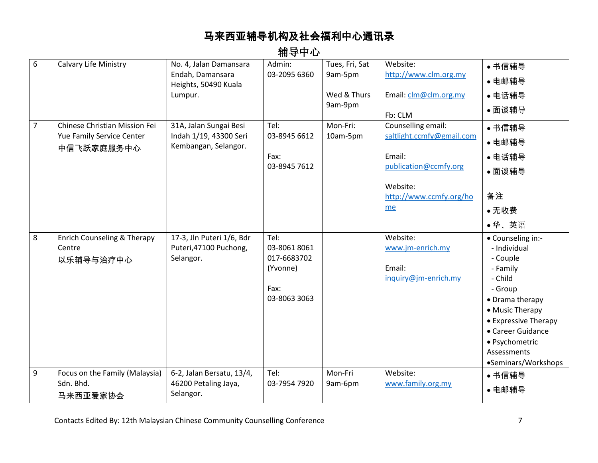| 6              | Calvary Life Ministry                                                    | No. 4, Jalan Damansara<br>Endah, Damansara<br>Heights, 50490 Kuala<br>Lumpur. | Admin:<br>03-2095 6360                                                  | Tues, Fri, Sat<br>9am-5pm<br>Wed & Thurs<br>9am-9pm | Website:<br>http://www.clm.org.my<br>Email: clm@clm.org.my<br>Fb: CLM                                                           | • 书信辅导<br>● 电邮辅导<br>• 电话辅导<br>• 面谈辅导                                                                                                                                                                                       |
|----------------|--------------------------------------------------------------------------|-------------------------------------------------------------------------------|-------------------------------------------------------------------------|-----------------------------------------------------|---------------------------------------------------------------------------------------------------------------------------------|----------------------------------------------------------------------------------------------------------------------------------------------------------------------------------------------------------------------------|
| $\overline{7}$ | Chinese Christian Mission Fei<br>Yue Family Service Center<br>中信飞跃家庭服务中心 | 31A, Jalan Sungai Besi<br>Indah 1/19, 43300 Seri<br>Kembangan, Selangor.      | Tel:<br>03-8945 6612<br>Fax:<br>03-8945 7612                            | Mon-Fri:<br>10am-5pm                                | Counselling email:<br>saltlight.ccmfy@gmail.com<br>Email:<br>publication@ccmfy.org<br>Website:<br>http://www.ccmfy.org/ho<br>me | • 书信辅导<br>• 电邮辅导<br>● 电话辅导<br>● 面谈辅导<br>备注<br>●无收费<br>●华、英语                                                                                                                                                                |
| 8              | Enrich Counseling & Therapy<br>Centre<br>以乐辅导与治疗中心                       | 17-3, Jln Puteri 1/6, Bdr<br>Puteri, 47100 Puchong,<br>Selangor.              | Tel:<br>03-8061 8061<br>017-6683702<br>(Yvonne)<br>Fax:<br>03-8063 3063 |                                                     | Website:<br>www.jm-enrich.my<br>Email:<br>inquiry@jm-enrich.my                                                                  | • Counseling in:-<br>- Individual<br>- Couple<br>- Family<br>- Child<br>- Group<br>• Drama therapy<br>• Music Therapy<br>• Expressive Therapy<br>• Career Guidance<br>• Psychometric<br>Assessments<br>•Seminars/Workshops |
| 9              | Focus on the Family (Malaysia)<br>Sdn. Bhd.<br>马来西亚爱家协会                  | 6-2, Jalan Bersatu, 13/4,<br>46200 Petaling Jaya,<br>Selangor.                | Tel:<br>03-7954 7920                                                    | Mon-Fri<br>9am-6pm                                  | Website:<br>www.family.org.my                                                                                                   | • 书信辅导<br>• 电邮辅导                                                                                                                                                                                                           |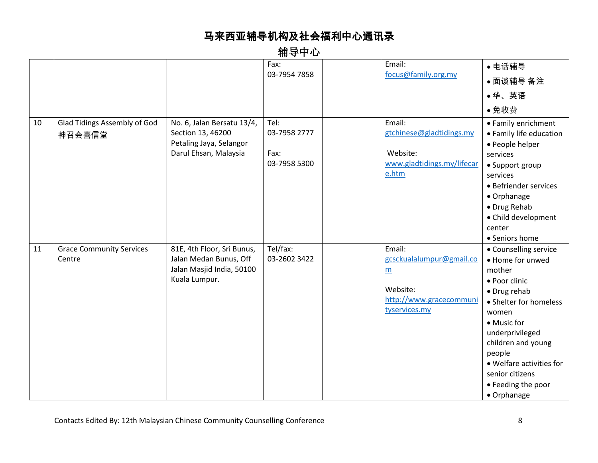|    |                                 |                            | Fax:         | Email:                     | ● 电话辅导                   |
|----|---------------------------------|----------------------------|--------------|----------------------------|--------------------------|
|    |                                 |                            | 03-7954 7858 | focus@family.org.my        | ● 面谈辅导 备注                |
|    |                                 |                            |              |                            | ●华、英语                    |
|    |                                 |                            |              |                            | •免收费                     |
| 10 | Glad Tidings Assembly of God    | No. 6, Jalan Bersatu 13/4, | Tel:         | Email:                     | • Family enrichment      |
|    | 神召会喜信堂                          | Section 13, 46200          | 03-7958 2777 | gtchinese@gladtidings.my   | • Family life education  |
|    |                                 | Petaling Jaya, Selangor    |              |                            | • People helper          |
|    |                                 | Darul Ehsan, Malaysia      | Fax:         | Website:                   | services                 |
|    |                                 |                            | 03-7958 5300 | www.gladtidings.my/lifecar | • Support group          |
|    |                                 |                            |              | e.htm                      | services                 |
|    |                                 |                            |              |                            | • Befriender services    |
|    |                                 |                            |              |                            | • Orphanage              |
|    |                                 |                            |              |                            | · Drug Rehab             |
|    |                                 |                            |              |                            | • Child development      |
|    |                                 |                            |              |                            | center                   |
|    |                                 |                            |              |                            | • Seniors home           |
| 11 | <b>Grace Community Services</b> | 81E, 4th Floor, Sri Bunus, | Tel/fax:     | Email:                     | • Counselling service    |
|    | Centre                          | Jalan Medan Bunus, Off     | 03-2602 3422 | gcsckualalumpur@gmail.co   | • Home for unwed         |
|    |                                 | Jalan Masjid India, 50100  |              | m                          | mother                   |
|    |                                 | Kuala Lumpur.              |              |                            | • Poor clinic            |
|    |                                 |                            |              | Website:                   | • Drug rehab             |
|    |                                 |                            |              | http://www.gracecommuni    | • Shelter for homeless   |
|    |                                 |                            |              | tyservices.my              | women                    |
|    |                                 |                            |              |                            | • Music for              |
|    |                                 |                            |              |                            | underprivileged          |
|    |                                 |                            |              |                            | children and young       |
|    |                                 |                            |              |                            | people                   |
|    |                                 |                            |              |                            | • Welfare activities for |
|    |                                 |                            |              |                            | senior citizens          |
|    |                                 |                            |              |                            | • Feeding the poor       |
|    |                                 |                            |              |                            | • Orphanage              |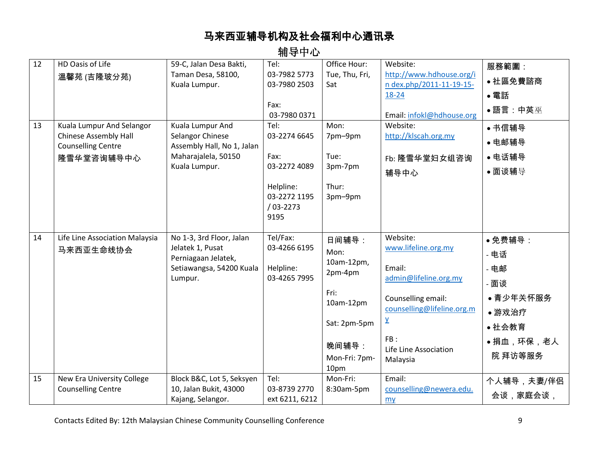| 12 | HD Oasis of Life                                          | 59-C, Jalan Desa Bakti,                        | Tel:                           | Office Hour:   | Website:                      | 服務範圍:            |
|----|-----------------------------------------------------------|------------------------------------------------|--------------------------------|----------------|-------------------------------|------------------|
|    | 溫馨苑 (吉隆玻分苑)                                               | Taman Desa, 58100,                             | 03-7982 5773                   | Tue, Thu, Fri, | http://www.hdhouse.org/i      | ●社區免費諮商          |
|    |                                                           | Kuala Lumpur.                                  | 03-7980 2503                   | Sat            | n dex.php/2011-11-19-15-      |                  |
|    |                                                           |                                                |                                |                | 18-24                         | • 電話             |
|    |                                                           |                                                | Fax:                           |                |                               | •語言:中英巫          |
|    |                                                           |                                                | 03-7980 0371                   |                | Email: infokl@hdhouse.org     |                  |
| 13 | Kuala Lumpur And Selangor                                 | Kuala Lumpur And                               | Tel:                           | Mon:           | Website:                      | • 书信辅导           |
|    | <b>Chinese Assembly Hall</b><br><b>Counselling Centre</b> | Selangor Chinese<br>Assembly Hall, No 1, Jalan | 03-2274 6645                   | 7pm-9pm        | http://klscah.org.my          | • 电邮辅导           |
|    | 隆雪华堂咨询辅导中心                                                | Maharajalela, 50150                            | Fax:                           | Tue:           | Fb: 隆雪华堂妇女组咨询                 | ● 电话辅导           |
|    |                                                           | Kuala Lumpur.                                  | 03-2272 4089                   | 3pm-7pm        | 辅导中心                          | ●面谈辅导            |
|    |                                                           |                                                |                                |                |                               |                  |
|    |                                                           |                                                | Helpline:<br>03-2272 1195      | Thur:          |                               |                  |
|    |                                                           |                                                | $/03 - 2273$                   | 3pm-9pm        |                               |                  |
|    |                                                           |                                                | 9195                           |                |                               |                  |
|    |                                                           |                                                |                                |                |                               |                  |
| 14 | Life Line Association Malaysia                            | No 1-3, 3rd Floor, Jalan                       | Tel/Fax:                       | 日间辅导:          | Website:                      | ● 免费辅导:          |
|    | 马来西亚生命线协会                                                 | Jelatek 1, Pusat                               | 03-4266 6195                   | Mon:           | www.lifeline.org.my           |                  |
|    |                                                           | Perniagaan Jelatek,                            |                                | 10am-12pm,     |                               | - 电话             |
|    |                                                           | Setiawangsa, 54200 Kuala                       | Helpline:                      | 2pm-4pm        | Email:                        | 电邮               |
|    |                                                           | Lumpur.                                        | 03-4265 7995                   |                | admin@lifeline.org.my         | - 面谈             |
|    |                                                           |                                                |                                | Fri:           | Counselling email:            | • 青少年关怀服务        |
|    |                                                           |                                                |                                | $10am-12pm$    | counselling@lifeline.org.m    | •游戏治疗            |
|    |                                                           |                                                |                                | Sat: 2pm-5pm   | Y                             | • 社会教育           |
|    |                                                           |                                                |                                |                | FB:                           |                  |
|    |                                                           |                                                |                                | 晚间辅导:          | Life Line Association         | <b>•捐血,环保,老人</b> |
|    |                                                           |                                                |                                | Mon-Fri: 7pm-  | Malaysia                      | 院 拜访等服务          |
|    |                                                           |                                                |                                | 10pm           |                               |                  |
|    |                                                           |                                                |                                |                |                               |                  |
| 15 | New Era University College                                | Block B&C, Lot 5, Seksyen                      | Tel:                           | Mon-Fri:       | Email:                        | 个人辅导,夫妻/伴侣       |
|    | <b>Counselling Centre</b>                                 | 10, Jalan Bukit, 43000<br>Kajang, Selangor.    | 03-8739 2770<br>ext 6211, 6212 | 8:30am-5pm     | counselling@newera.edu.<br>my | 会谈,家庭会谈,         |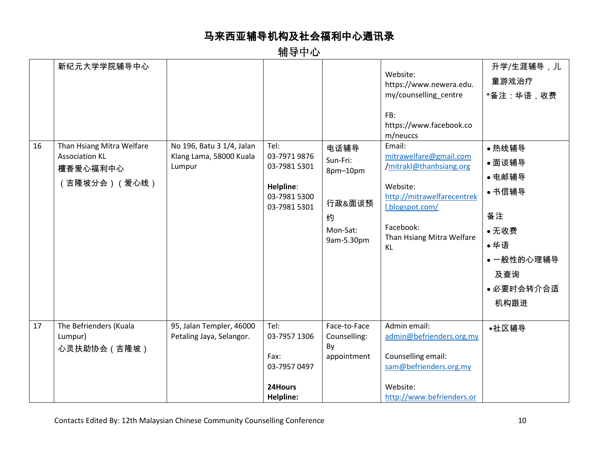| 16 | 新纪元大学学院辅导中心<br>Than Hsiang Mitra Welfare          |                                                                | Tel:                                                                        |                                                                       | Website:<br>https://www.newera.edu.<br>my/counselling centre<br>FB:<br>https://www.facebook.co<br>m/neuccs<br>Email:                                           | 升学/生涯辅导,儿<br>童游戏治疗<br>*备注:华语,收费                                                                      |
|----|---------------------------------------------------|----------------------------------------------------------------|-----------------------------------------------------------------------------|-----------------------------------------------------------------------|----------------------------------------------------------------------------------------------------------------------------------------------------------------|------------------------------------------------------------------------------------------------------|
|    | <b>Association KL</b><br>檀香爱心福利中心<br>吉隆坡分会)(爱心线)  | No 196, Batu 3 1/4, Jalan<br>Klang Lama, 58000 Kuala<br>Lumpur | 03-7971 9876<br>03-7981 5301<br>Helpline:<br>03-7981 5300<br>03-7981 5301   | 电话辅导<br>Sun-Fri:<br>8pm-10pm<br>行政&面谈预<br>约<br>Mon-Sat:<br>9am-5.30pm | mitrawelfare@gmail.com<br>/mitrakl@thanhsiang.org<br>Website:<br>http://mitrawelfarecentrek<br>I.blogspot.com/<br>Facebook:<br>Than Hsiang Mitra Welfare<br>KL | • 热线辅导<br>● 面谈辅导<br>● 电邮辅导<br>● 书信辅导<br>备注<br>• 无收费<br>●华语<br>●一般性的心理辅导<br>及查询<br>• 必要时会转介合适<br>机构跟进 |
| 17 | The Befrienders (Kuala<br>Lumpur)<br>心灵扶助协会 (吉隆坡) | 95, Jalan Templer, 46000<br>Petaling Jaya, Selangor.           | Tel:<br>03-7957 1306<br>Fax:<br>03-7957 0497<br>24Hours<br><b>Helpline:</b> | Face-to-Face<br>Counselling:<br>By<br>appointment                     | Admin email:<br>admin@befrienders.org.my<br>Counselling email:<br>sam@befrienders.org.my<br>Website:<br>http://www.befrienders.or                              | ●社区辅导                                                                                                |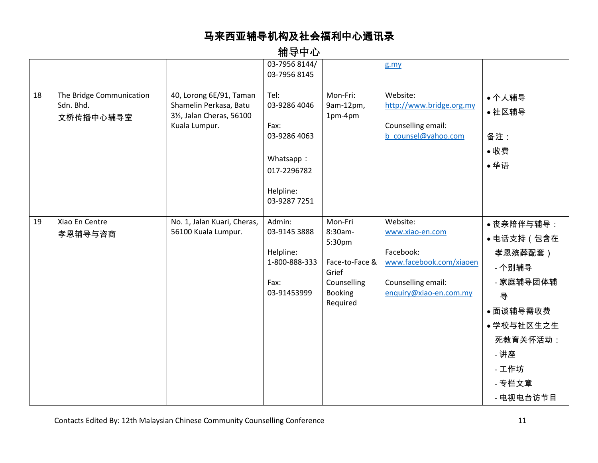|    |                                                    |                                                                                                              | .                                                                                                     |                                                                                                      |                                                                                                                     |                                                                                                                                               |
|----|----------------------------------------------------|--------------------------------------------------------------------------------------------------------------|-------------------------------------------------------------------------------------------------------|------------------------------------------------------------------------------------------------------|---------------------------------------------------------------------------------------------------------------------|-----------------------------------------------------------------------------------------------------------------------------------------------|
|    |                                                    |                                                                                                              | 03-7956 8144/<br>03-7956 8145                                                                         |                                                                                                      | g.my                                                                                                                |                                                                                                                                               |
| 18 | The Bridge Communication<br>Sdn. Bhd.<br>文桥传播中心辅导室 | 40, Lorong 6E/91, Taman<br>Shamelin Perkasa, Batu<br>31/ <sub>2</sub> , Jalan Cheras, 56100<br>Kuala Lumpur. | Tel:<br>03-9286 4046<br>Fax:<br>03-9286 4063<br>Whatsapp:<br>017-2296782<br>Helpline:<br>03-9287 7251 | Mon-Fri:<br>9am-12pm,<br>1pm-4pm                                                                     | Website:<br>http://www.bridge.org.my<br>Counselling email:<br>b counsel@yahoo.com                                   | • 个人辅导<br>• 社区辅导<br>备注:<br>●收费<br>●华语                                                                                                         |
| 19 | Xiao En Centre<br>孝恩辅导与咨商                          | No. 1, Jalan Kuari, Cheras,<br>56100 Kuala Lumpur.                                                           | Admin:<br>03-9145 3888<br>Helpline:<br>1-800-888-333<br>Fax:<br>03-91453999                           | Mon-Fri<br>8:30am-<br>5:30pm<br>Face-to-Face &<br>Grief<br>Counselling<br><b>Booking</b><br>Required | Website:<br>www.xiao-en.com<br>Facebook:<br>www.facebook.com/xiaoen<br>Counselling email:<br>enquiry@xiao-en.com.my | ● 丧亲陪伴与辅导:<br>● 电话支持(包含在<br>孝恩殡葬配套)<br>- 个别辅导<br>- 家庭辅导团体辅<br>导<br>●面谈辅导需收费<br>• 学校与社区生之生<br>死教育关怀活动:<br>- 讲座<br>- 工作坊<br>- 专栏文章<br>- 电视电台访节目 |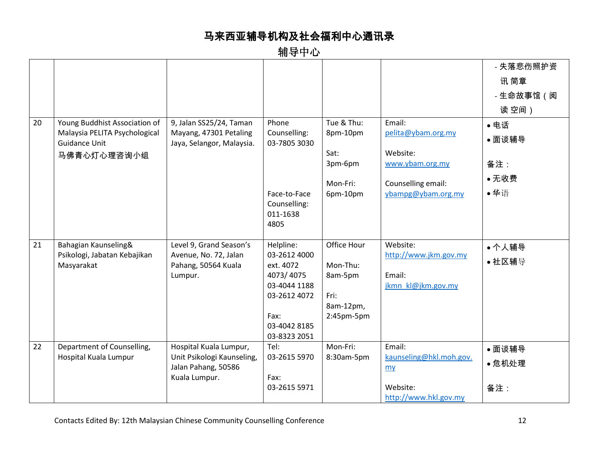|    |                                                       |                                                     |                              |             |                                   | - 失落悲伤照护资 |
|----|-------------------------------------------------------|-----------------------------------------------------|------------------------------|-------------|-----------------------------------|-----------|
|    |                                                       |                                                     |                              |             |                                   | 讯 简章      |
|    |                                                       |                                                     |                              |             |                                   | - 生命故事馆(阅 |
|    |                                                       |                                                     |                              |             |                                   | 读空间)      |
| 20 | Young Buddhist Association of                         | 9, Jalan SS25/24, Taman                             | Phone                        | Tue & Thu:  | Email:                            | • 电话      |
|    | Malaysia PELITA Psychological<br><b>Guidance Unit</b> | Mayang, 47301 Petaling<br>Jaya, Selangor, Malaysia. | Counselling:<br>03-7805 3030 | 8pm-10pm    | pelita@ybam.org.my                | ● 面谈辅导    |
|    | 马佛青心灯心理咨询小组                                           |                                                     |                              | Sat:        | Website:                          |           |
|    |                                                       |                                                     |                              | 3pm-6pm     | www.ybam.org.my                   | 备注:       |
|    |                                                       |                                                     |                              | Mon-Fri:    | Counselling email:                | • 无收费     |
|    |                                                       |                                                     | Face-to-Face                 | 6pm-10pm    | ybampg@ybam.org.my                | ●华语       |
|    |                                                       |                                                     | Counselling:<br>011-1638     |             |                                   |           |
|    |                                                       |                                                     | 4805                         |             |                                   |           |
|    |                                                       |                                                     |                              |             |                                   |           |
| 21 | Bahagian Kaunseling&<br>Psikologi, Jabatan Kebajikan  | Level 9, Grand Season's<br>Avenue, No. 72, Jalan    | Helpline:<br>03-2612 4000    | Office Hour | Website:<br>http://www.jkm.gov.my | • 个人辅导    |
|    | Masyarakat                                            | Pahang, 50564 Kuala                                 | ext. 4072                    | Mon-Thu:    |                                   | • 社区辅导    |
|    |                                                       | Lumpur.                                             | 4073/4075                    | 8am-5pm     | Email:                            |           |
|    |                                                       |                                                     | 03-4044 1188<br>03-2612 4072 | Fri:        | jkmn kl@jkm.gov.my                |           |
|    |                                                       |                                                     |                              | 8am-12pm,   |                                   |           |
|    |                                                       |                                                     | Fax:                         | 2:45pm-5pm  |                                   |           |
|    |                                                       |                                                     | 03-4042 8185<br>03-8323 2051 |             |                                   |           |
| 22 | Department of Counselling,                            | Hospital Kuala Lumpur,                              | Tel:                         | Mon-Fri:    | Email:                            | ● 面谈辅导    |
|    | Hospital Kuala Lumpur                                 | Unit Psikologi Kaunseling,                          | 03-2615 5970                 | 8:30am-5pm  | kaunseling@hkl.moh.gov.           | • 危机处理    |
|    |                                                       | Jalan Pahang, 50586<br>Kuala Lumpur.                | Fax:                         |             | m <sub>y</sub>                    |           |
|    |                                                       |                                                     | 03-2615 5971                 |             | Website:                          | 备注:       |
|    |                                                       |                                                     |                              |             | http://www.hkl.gov.my             |           |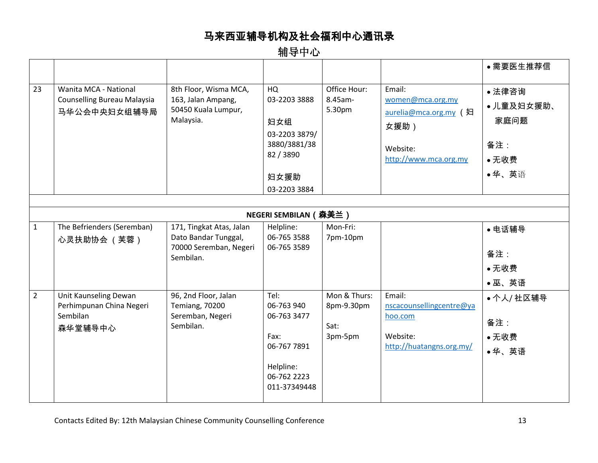|                |                                                                             |                                                                                         |                                                                                                      |                                               |                                                                                                  | ●需要医生推荐信                                    |
|----------------|-----------------------------------------------------------------------------|-----------------------------------------------------------------------------------------|------------------------------------------------------------------------------------------------------|-----------------------------------------------|--------------------------------------------------------------------------------------------------|---------------------------------------------|
| 23             | Wanita MCA - National<br><b>Counselling Bureau Malaysia</b><br>马华公会中央妇女组辅导局 | 8th Floor, Wisma MCA,<br>163, Jalan Ampang,<br>50450 Kuala Lumpur,<br>Malaysia.         | HQ<br>03-2203 3888<br>妇女组<br>03-2203 3879/<br>3880/3881/38<br>82 / 3890                              | Office Hour:<br>8.45am-<br>5.30pm             | Email:<br>women@mca.org.my<br>aurelia@mca.org.my (妇<br>女援助)<br>Website:<br>http://www.mca.org.my | • 法律咨询<br>•儿童及妇女援助、<br>家庭问题<br>备注:<br>• 无收费 |
|                |                                                                             |                                                                                         | 妇女援助<br>03-2203 3884                                                                                 |                                               |                                                                                                  | ●华、英语                                       |
|                |                                                                             |                                                                                         |                                                                                                      |                                               |                                                                                                  |                                             |
|                |                                                                             |                                                                                         | <b>NEGERI SEMBILAN ( 森美兰 )</b>                                                                       |                                               |                                                                                                  |                                             |
| $\mathbf{1}$   | The Befrienders (Seremban)<br>心灵扶助协会 (芙蓉)                                   | 171, Tingkat Atas, Jalan<br>Dato Bandar Tunggal,<br>70000 Seremban, Negeri<br>Sembilan. | Helpline:<br>06-765 3588<br>06-765 3589                                                              | Mon-Fri:<br>7pm-10pm                          |                                                                                                  | • 电话辅导<br>备注:<br>• 无收费<br>●巫、英语             |
| $\overline{2}$ | Unit Kaunseling Dewan<br>Perhimpunan China Negeri<br>Sembilan<br>森华堂辅导中心    | 96, 2nd Floor, Jalan<br><b>Temiang, 70200</b><br>Seremban, Negeri<br>Sembilan.          | Tel:<br>06-763 940<br>06-763 3477<br>Fax:<br>06-767 7891<br>Helpline:<br>06-762 2223<br>011-37349448 | Mon & Thurs:<br>8pm-9.30pm<br>Sat:<br>3pm-5pm | Email:<br>nscacounsellingcentre@ya<br>hoo.com<br>Website:<br>http://huatangns.org.my/            | • 个人/ 社区辅导<br>备注:<br>• 无收费<br>●华、英语         |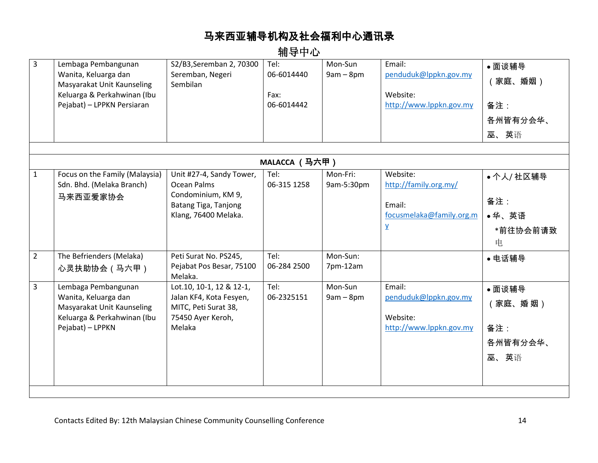| 3              | Lembaga Pembangunan<br>Wanita, Keluarga dan<br>Masyarakat Unit Kaunseling<br>Keluarga & Perkahwinan (Ibu<br>Pejabat) - LPPKN Persiaran | S2/B3, Seremban 2, 70300<br>Seremban, Negeri<br>Sembilan                                                             | Tel:<br>06-6014440<br>Fax:<br>06-6014442 | Mon-Sun<br>$9am - 8pm$ | Email:<br>penduduk@lppkn.gov.my<br>Website:<br>http://www.lppkn.gov.my                    | ●面谈辅导<br>家庭、婚姻)<br>备注:<br>各州皆有分会华、<br>巫、英语  |
|----------------|----------------------------------------------------------------------------------------------------------------------------------------|----------------------------------------------------------------------------------------------------------------------|------------------------------------------|------------------------|-------------------------------------------------------------------------------------------|---------------------------------------------|
|                |                                                                                                                                        |                                                                                                                      | MALACCA (马六甲)                            |                        |                                                                                           |                                             |
| $\mathbf{1}$   | Focus on the Family (Malaysia)<br>Sdn. Bhd. (Melaka Branch)<br>马来西亚爱家协会                                                                | Unit #27-4, Sandy Tower,<br><b>Ocean Palms</b><br>Condominium, KM 9,<br>Batang Tiga, Tanjong<br>Klang, 76400 Melaka. | Tel:<br>06-315 1258                      | Mon-Fri:<br>9am-5:30pm | Website:<br>http://family.org.my/<br>Email:<br>focusmelaka@family.org.m<br>$\overline{Y}$ | • 个人/ 社区辅导<br>备注:<br>●华、英语<br>*前往协会前请致<br>电 |
| $\overline{2}$ | The Befrienders (Melaka)<br>心灵扶助协会 (马六甲)                                                                                               | Peti Surat No. PS245,<br>Pejabat Pos Besar, 75100<br>Melaka.                                                         | Tel:<br>06-284 2500                      | Mon-Sun:<br>7pm-12am   |                                                                                           | ● 电话辅导                                      |
| 3              | Lembaga Pembangunan<br>Wanita, Keluarga dan<br>Masyarakat Unit Kaunseling<br>Keluarga & Perkahwinan (Ibu<br>Pejabat) - LPPKN           | Lot.10, 10-1, 12 & 12-1,<br>Jalan KF4, Kota Fesyen,<br>MITC, Peti Surat 38,<br>75450 Ayer Keroh,<br>Melaka           | Tel:<br>06-2325151                       | Mon-Sun<br>$9am - 8pm$ | Email:<br>penduduk@lppkn.gov.my<br>Website:<br>http://www.lppkn.gov.my                    | ●面谈辅导<br>家庭、婚 姻)<br>备注:<br>各州皆有分会华、<br>巫、英语 |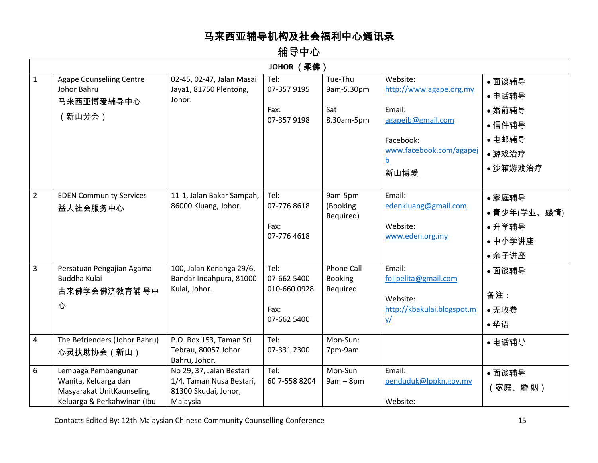|                | JOHOR (柔佛)                                                                                              |                                                                                          |                                                            |                                                 |                                                                                                                                |                                                                     |  |  |
|----------------|---------------------------------------------------------------------------------------------------------|------------------------------------------------------------------------------------------|------------------------------------------------------------|-------------------------------------------------|--------------------------------------------------------------------------------------------------------------------------------|---------------------------------------------------------------------|--|--|
| $\mathbf{1}$   | <b>Agape Counseliing Centre</b><br>Johor Bahru<br>马来西亚博爱辅导中心<br>(新山分会)                                  | 02-45, 02-47, Jalan Masai<br>Jaya1, 81750 Plentong,<br>Johor.                            | Tel:<br>07-357 9195<br>Fax:<br>07-357 9198                 | Tue-Thu<br>9am-5.30pm<br>Sat<br>8.30am-5pm      | Website:<br>http://www.agape.org.my<br>Email:<br>agapejb@gmail.com<br>Facebook:<br>www.facebook.com/agapej<br><u>b</u><br>新山博爱 | • 面谈辅导<br>• 电话辅导<br>• 婚前辅导<br>• 信件辅导<br>• 电邮辅导<br>•游戏治疗<br>• 沙箱游戏治疗 |  |  |
| $\overline{2}$ | <b>EDEN Community Services</b><br>益人社会服务中心                                                              | 11-1, Jalan Bakar Sampah,<br>86000 Kluang, Johor.                                        | Tel:<br>07-776 8618<br>Fax:<br>07-776 4618                 | 9am-5pm<br>(Booking<br>Required)                | Email:<br>edenkluang@gmail.com<br>Website:<br>www.eden.org.my                                                                  | • 家庭辅导<br>● 青少年(学业、感情)<br>• 升学辅导<br>• 中小学讲座<br>• 亲子讲座               |  |  |
| $\overline{3}$ | Persatuan Pengajian Agama<br>Buddha Kulai<br>古来佛学会佛济教育辅 导中<br>心                                         | 100, Jalan Kenanga 29/6,<br>Bandar Indahpura, 81000<br>Kulai, Johor.                     | Tel:<br>07-662 5400<br>010-660 0928<br>Fax:<br>07-662 5400 | <b>Phone Call</b><br><b>Booking</b><br>Required | Email:<br>fojipelita@gmail.com<br>Website:<br>http://kbakulai.blogspot.m<br>$\underline{v}$                                    | ●面谈辅导<br>备注:<br>• 无收费<br>●华语                                        |  |  |
| $\overline{4}$ | The Befrienders (Johor Bahru)<br>心灵扶助协会 (新山)                                                            | P.O. Box 153, Taman Sri<br>Tebrau, 80057 Johor<br>Bahru, Johor.                          | Tel:<br>07-331 2300                                        | Mon-Sun:<br>7pm-9am                             |                                                                                                                                | • 电话辅导                                                              |  |  |
| 6              | Lembaga Pembangunan<br>Wanita, Keluarga dan<br>Masyarakat UnitKaunseling<br>Keluarga & Perkahwinan (Ibu | No 29, 37, Jalan Bestari<br>1/4, Taman Nusa Bestari,<br>81300 Skudai, Johor,<br>Malaysia | Tel:<br>60 7-558 8204                                      | Mon-Sun<br>$9am - 8pm$                          | Email:<br>penduduk@lppkn.gov.my<br>Website:                                                                                    | ●面谈辅导<br>家庭、婚姻)                                                     |  |  |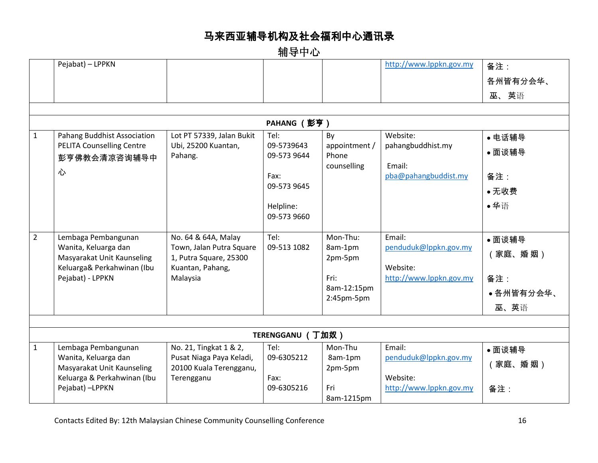辅导中心

|                | Pejabat) - LPPKN                                          |                           |                  |                     | http://www.lppkn.gov.my | 备注:       |
|----------------|-----------------------------------------------------------|---------------------------|------------------|---------------------|-------------------------|-----------|
|                |                                                           |                           |                  |                     |                         | 各州皆有分会华、  |
|                |                                                           |                           |                  |                     |                         | 巫、英语      |
|                |                                                           |                           |                  |                     |                         |           |
|                |                                                           |                           | PAHANG (彭亨)      |                     |                         |           |
| $\mathbf{1}$   | Pahang Buddhist Association                               | Lot PT 57339, Jalan Bukit | Tel:             | By                  | Website:                | ● 电话辅导    |
|                | <b>PELITA Counselling Centre</b>                          | Ubi, 25200 Kuantan,       | 09-5739643       | appointment /       | pahangbuddhist.my       | ● 面谈辅导    |
|                | 彭亨佛教会清凉咨询辅导中                                              | Pahang.                   | 09-573 9644      | Phone               | Email:                  |           |
|                | 心                                                         |                           | Fax:             | counselling         | pba@pahangbuddist.my    | 备注:       |
|                |                                                           |                           | 09-573 9645      |                     |                         |           |
|                |                                                           |                           |                  |                     |                         | • 无收费     |
|                |                                                           |                           | Helpline:        |                     |                         | ●华语       |
|                |                                                           |                           | 09-573 9660      |                     |                         |           |
| $\overline{2}$ | Lembaga Pembangunan                                       | No. 64 & 64A, Malay       | Tel:             | Mon-Thu:            | Email:                  | ● 面谈辅导    |
|                | Wanita, Keluarga dan                                      | Town, Jalan Putra Square  | 09-513 1082      | 8am-1pm             | penduduk@lppkn.gov.my   |           |
|                | Masyarakat Unit Kaunseling                                | 1, Putra Square, 25300    |                  | 2pm-5pm             |                         | 家庭、婚姻)    |
|                | Keluarga& Perkahwinan (Ibu                                | Kuantan, Pahang,          |                  |                     | Website:                |           |
|                | Pejabat) - LPPKN                                          | Malaysia                  |                  | Fri:<br>8am-12:15pm | http://www.lppkn.gov.my | 备注:       |
|                |                                                           |                           |                  | 2:45pm-5pm          |                         | ●各州皆有分会华、 |
|                |                                                           |                           |                  |                     |                         | 巫、英语      |
|                |                                                           |                           |                  |                     |                         |           |
|                |                                                           |                           | TERENGGANU (丁加奴) |                     |                         |           |
| $\mathbf{1}$   | Lembaga Pembangunan                                       | No. 21, Tingkat 1 & 2,    | Tel:             | Mon-Thu             | Email:                  | ● 面谈辅导    |
|                | Wanita, Keluarga dan                                      | Pusat Niaga Paya Keladi,  | 09-6305212       | 8am-1pm             | penduduk@lppkn.gov.my   | 家庭、婚 姻)   |
|                | Masyarakat Unit Kaunseling<br>Keluarga & Perkahwinan (Ibu | 20100 Kuala Terengganu,   | Fax:             | 2pm-5pm             | Website:                |           |
|                | Pejabat) -LPPKN                                           | Terengganu                | 09-6305216       | Fri                 | http://www.lppkn.gov.my | 备注:       |
|                |                                                           |                           |                  | 8am-1215pm          |                         |           |
|                |                                                           |                           |                  |                     |                         |           |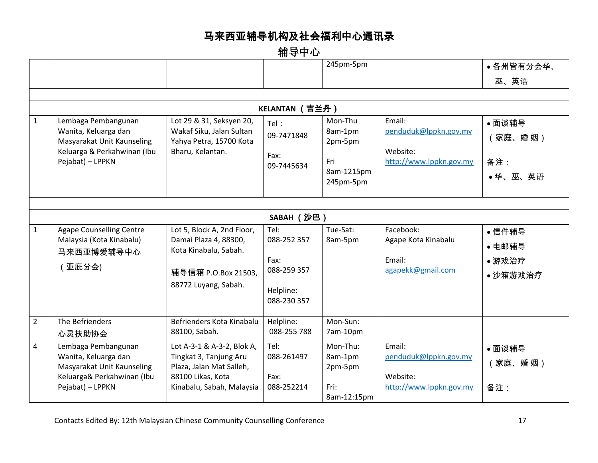|                |                                                    |                                                      |                          | 245pm-5pm               |                                 | ●各州皆有分会华、 |  |  |  |
|----------------|----------------------------------------------------|------------------------------------------------------|--------------------------|-------------------------|---------------------------------|-----------|--|--|--|
|                |                                                    |                                                      |                          |                         |                                 | 巫、英语      |  |  |  |
|                |                                                    |                                                      |                          |                         |                                 |           |  |  |  |
|                | KELANTAN (吉兰丹)                                     |                                                      |                          |                         |                                 |           |  |  |  |
| $\mathbf{1}$   | Lembaga Pembangunan                                | Lot 29 & 31, Seksyen 20,                             | Tel:                     | Mon-Thu                 | Email:                          | ●面谈辅导     |  |  |  |
|                | Wanita, Keluarga dan<br>Masyarakat Unit Kaunseling | Wakaf Siku, Jalan Sultan<br>Yahya Petra, 15700 Kota  | 09-7471848               | 8am-1pm<br>2pm-5pm      | penduduk@lppkn.gov.my           | 家庭、婚 姻)   |  |  |  |
|                | Keluarga & Perkahwinan (Ibu                        | Bharu, Kelantan.                                     | Fax:                     |                         | Website:                        |           |  |  |  |
|                | Pejabat) - LPPKN                                   |                                                      | 09-7445634               | Fri                     | http://www.lppkn.gov.my         | 备注:       |  |  |  |
|                |                                                    |                                                      |                          | 8am-1215pm<br>245pm-5pm |                                 | ●华、巫、英语   |  |  |  |
|                |                                                    |                                                      |                          |                         |                                 |           |  |  |  |
|                |                                                    |                                                      |                          |                         |                                 |           |  |  |  |
|                |                                                    |                                                      | SABAH (沙巴)               |                         |                                 |           |  |  |  |
| $\mathbf{1}$   | <b>Agape Counselling Centre</b>                    | Lot 5, Block A, 2nd Floor,                           | Tel:                     | Tue-Sat:                | Facebook:                       | • 信件辅导    |  |  |  |
|                | Malaysia (Kota Kinabalu)<br>马来西亚博爱辅导中心             | Damai Plaza 4, 88300,<br>Kota Kinabalu, Sabah.       | 088-252 357              | 8am-5pm                 | Agape Kota Kinabalu             | • 电邮辅导    |  |  |  |
|                |                                                    |                                                      | Fax:                     |                         | Email:                          | •游戏治疗     |  |  |  |
|                | 亚庇分会)                                              | 辅导信箱 P.O.Box 21503,                                  | 088-259 357              |                         | agapekk@gmail.com               | • 沙箱游戏治疗  |  |  |  |
|                |                                                    | 88772 Luyang, Sabah.                                 | Helpline:                |                         |                                 |           |  |  |  |
|                |                                                    |                                                      | 088-230 357              |                         |                                 |           |  |  |  |
|                |                                                    |                                                      |                          |                         |                                 |           |  |  |  |
| $\overline{2}$ | The Befrienders                                    | Befrienders Kota Kinabalu<br>88100, Sabah.           | Helpline:<br>088-255 788 | Mon-Sun:<br>7am-10pm    |                                 |           |  |  |  |
|                | 心灵扶助协会                                             |                                                      |                          |                         |                                 |           |  |  |  |
| 4              | Lembaga Pembangunan<br>Wanita, Keluarga dan        | Lot A-3-1 & A-3-2, Blok A,<br>Tingkat 3, Tanjung Aru | Tel:<br>088-261497       | Mon-Thu:<br>8am-1pm     | Email:<br>penduduk@lppkn.gov.my | ●面谈辅导     |  |  |  |
|                | Masyarakat Unit Kaunseling                         | Plaza, Jalan Mat Salleh,                             |                          | 2pm-5pm                 |                                 | 家庭、婚 姻)   |  |  |  |
|                | Keluarga& Perkahwinan (Ibu                         | 88100 Likas, Kota                                    | Fax:                     |                         | Website:                        |           |  |  |  |
|                | Pejabat) - LPPKN                                   | Kinabalu, Sabah, Malaysia                            | 088-252214               | Fri:                    | http://www.lppkn.gov.my         | 备注:       |  |  |  |
|                |                                                    |                                                      |                          | 8am-12:15pm             |                                 |           |  |  |  |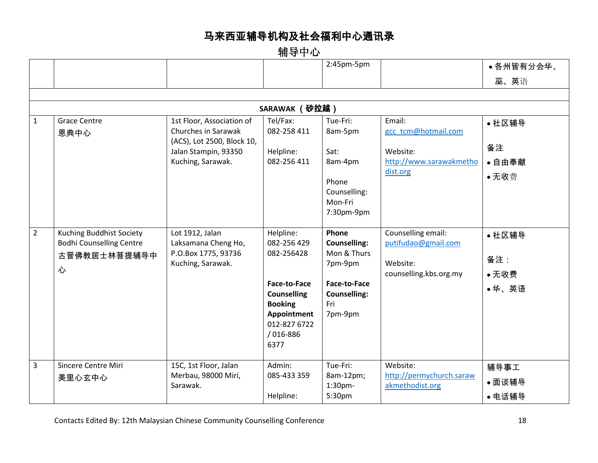|                |                                                                                         |                                                                                                                             |                                                                                                                                                                 | $2:45$ pm- $5$ pm                                                                                               |                                                                                  | ●各州皆有分会华、                       |  |  |
|----------------|-----------------------------------------------------------------------------------------|-----------------------------------------------------------------------------------------------------------------------------|-----------------------------------------------------------------------------------------------------------------------------------------------------------------|-----------------------------------------------------------------------------------------------------------------|----------------------------------------------------------------------------------|---------------------------------|--|--|
|                |                                                                                         |                                                                                                                             |                                                                                                                                                                 |                                                                                                                 |                                                                                  | 巫、英语                            |  |  |
|                |                                                                                         |                                                                                                                             |                                                                                                                                                                 |                                                                                                                 |                                                                                  |                                 |  |  |
|                | SARAWAK (砂拉越)                                                                           |                                                                                                                             |                                                                                                                                                                 |                                                                                                                 |                                                                                  |                                 |  |  |
| $\mathbf{1}$   | <b>Grace Centre</b><br>恩典中心                                                             | 1st Floor, Association of<br>Churches in Sarawak<br>(ACS), Lot 2500, Block 10,<br>Jalan Stampin, 93350<br>Kuching, Sarawak. | Tel/Fax:<br>082-258 411<br>Helpline:<br>082-256 411                                                                                                             | Tue-Fri:<br>8am-5pm<br>Sat:<br>8am-4pm<br>Phone<br>Counselling:<br>Mon-Fri<br>7:30pm-9pm                        | Email:<br>gcc tcm@hotmail.com<br>Website:<br>http://www.sarawakmetho<br>dist.org | • 社区辅导<br>备注<br>• 自由奉献<br>•无收费  |  |  |
| $\overline{2}$ | <b>Kuching Buddhist Society</b><br><b>Bodhi Counselling Centre</b><br>古晋佛教居士林菩提辅导中<br>心 | Lot 1912, Jalan<br>Laksamana Cheng Ho,<br>P.O.Box 1775, 93736<br>Kuching, Sarawak.                                          | Helpline:<br>082-256 429<br>082-256428<br><b>Face-to-Face</b><br><b>Counselling</b><br><b>Booking</b><br><b>Appointment</b><br>012-827 6722<br>/016-886<br>6377 | Phone<br><b>Counselling:</b><br>Mon & Thurs<br>7pm-9pm<br>Face-to-Face<br><b>Counselling:</b><br>Fri<br>7pm-9pm | Counselling email:<br>putifudao@gmail.com<br>Website:<br>counselling.kbs.org.my  | • 社区辅导<br>备注:<br>• 无收费<br>●华、英语 |  |  |
| $\overline{3}$ | Sincere Centre Miri<br>美里心玄中心                                                           | 15C, 1st Floor, Jalan<br>Merbau, 98000 Miri,<br>Sarawak.                                                                    | Admin:<br>085-433 359<br>Helpline:                                                                                                                              | Tue-Fri:<br>8am-12pm;<br>1:30 <sub>pm</sub><br>5:30pm                                                           | Website:<br>http://permychurch.saraw<br>akmethodist.org                          | 辅导事工<br>●面谈辅导<br>● 电话辅导         |  |  |